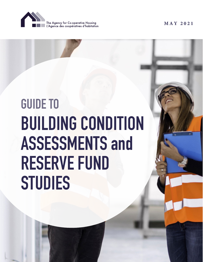

# **BUILDING CONDITION ASSESSMENTS and RESERVE FUND STUDIES GUIDE TO**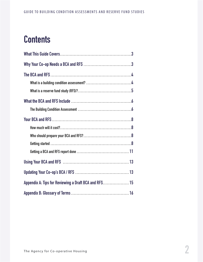# **Contents**

| Appendix A: Tips for Reviewing a Draft BCA and RFS 15 |  |
|-------------------------------------------------------|--|
|                                                       |  |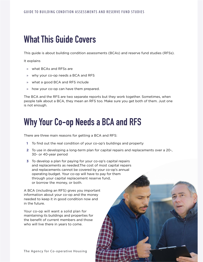## <span id="page-2-0"></span>**What This Guide Covers**

This guide is about building condition assessments (BCAs) and reserve fund studies (RFSs).

It explains

- » what BCAs and RFSs are
- » why your co-op needs a BCA and RFS
- » what a good BCA and RFS include
- » how your co-op can have them prepared.

The BCA and the RFS are two separate reports but they work together. Sometimes, when people talk about a BCA, they mean an RFS too. Make sure you get both of them. Just one is not enough.

# **Why Your Co-op Needs a BCA and RFS**

There are three main reasons for getting a BCA and RFS:

- **1** To find out the real condition of your co-op's buildings and property
- **2** To use in developing a long-term plan for capital repairs and replacements over a 20-, 30- or 40-year period
- **3** To develop a plan for paying for your co-op's capital repairs and replacements as needed.The cost of most capital repairs and replacements cannot be covered by your co-op's annual operating budget. Your co-op will have to pay for them through your capital replacement reserve fund, or borrow the money, or both.

A BCA (including an RFS) gives you important information about your co-op and the money needed to keep it in good condition now and in the future.

Your co-op will want a solid plan for maintaining its buildings and properties for the benefit of current members and those who will live there in years to come.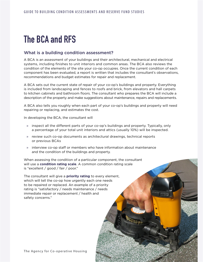# <span id="page-3-0"></span>**The BCA and RFS**

### What is a building condition assessment?

A BCA is an assessment of your buildings and their architectural, mechanical and electrical systems, including finishes to unit interiors and common areas. The BCA also reviews the condition of the elements of the site your co-op occupies. Once the current condition of each component has been evaluated, a report is written that includes the consultant's observations, recommendations and budget estimates for repair and replacement.

A BCA sets out the current state of repair of your co-op's buildings and property. Everything is included from landscaping and fences to roofs and brick, from elevators and hall carpets to kitchen cabinets and bathroom floors. The consultant who prepares the BCA will include a description of the property and make suggestions about maintenance, repairs and replacements.

A BCA also tells you roughly when each part of your co-op's buildings and property will need repairing or replacing, and estimates the cost.

In developing the BCA, the consultant will

- » inspect all the different parts of your co-op's buildings and property. Typically, only a percentage of your total unit interiors and attics (usually 10%) will be inspected.
- » review such co-op documents as architectural drawings, technical reports or previous BCAs
- » interview co-op staff or members who have information about maintenance and the condition of the buildings and property.

When assessing the condition of a particular component, the consultant will use a **condition rating scale**. A common condition rating scale is "excellent / good / fair / poor."

The consultant will give a **priority rating** to every element, which will tell the co-op how urgently each one needs to be repaired or replaced. An example of a priority rating is "satisfactory / needs maintenance / needs immediate repair or replacement / health and safety concerns."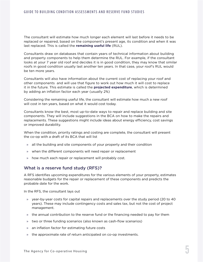<span id="page-4-0"></span>The consultant will estimate how much longer each element will last before it needs to be replaced or repaired, based on the component's present age, its condition and when it was last replaced. This is called the **remaining useful life** (RUL).

Consultants draw on databases that contain years of technical information about building and property components to help them determine the RUL. For example, if the consultant looks at your 7 year old roof and decides it is in good condition, they may know that similar roofs in good condition usually last another ten years. In that case, your roof's RUL would be ten more years.

Consultants will also have information about the current cost of replacing your roof and other components and will use that figure to work out how much it will cost to replace it in the future. This estimate is called the **projected expenditure**, which is determined by adding an inflation factor each year (usually 2%)

Considering the remaining useful life, the consultant will estimate how much a new roof will cost in ten years, based on what it would cost today.

Consultants know the best, most up-to-date ways to repair and replace building and site components. They will include suggestions in the BCA on how to make the repairs and replacements. These suggestions might include ideas about energy efficiency, cost savings or improved durability.

When the condition, priority ratings and costing are complete, the consultant will present the co-op with a draft of its BCA that will list

- » all the building and site components of your property and their condition
- » when the different components will need repair or replacement
- » how much each repair or replacement will probably cost.

#### What is a reserve fund study (RFS)?

A RFS identifies upcoming expenditures for the various elements of your property, estimates reasonable budgets for the repair or replacement of these components and predicts the probable date for the work.

In the RFS, the consultant lays out

- » year-by-year costs for capital repairs and replacements over the study period (20 to 40 years). These may include contingency costs and sales tax, but not the cost of project management.
- » the annual contribution to the reserve fund or the financing needed to pay for them
- » two or three funding scenarios (also known as cash-flow scenarios)
- » an inflation factor for estimating future costs
- » the approximate rate of return anticipated on co-op investments.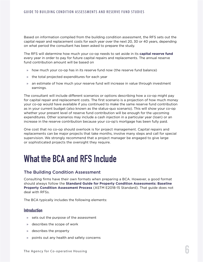<span id="page-5-0"></span>Based on information compiled from the building condition assessment, the RFS sets out the capital repair and replacement costs for each year over the next 20, 30 or 40 years, depending on what period the consultant has been asked to prepare the study.

The RFS will determine how much your co-op needs to set aside in its **capital reserve fund** every year in order to pay for future capital repairs and replacements. The annual reserve fund contribution amount will be based on

- » how much your co-op has in its reserve fund now (the reserve fund balance)
- » the total projected expenditures for each year
- » an estimate of how much your reserve fund will increase in value through investment earnings.

The consultant will include different scenarios or options describing how a co-op might pay for capital repair and replacement costs. The first scenario is a projection of how much money your co-op would have available if you continued to make the same reserve fund contribution as in your current budget (also known as the status-quo scenario). This will show your co-op whether your present level of reserve fund contribution will be enough for the upcoming expenditures. Other scenarios may include a cash injection in a particular year (loan) or an increase in the reserve contribution because your co-op's mortgage has been fully paid.

One cost that no co-op should overlook is for project management. Capital repairs and replacements can be major projects that take months, involve many steps and call for special supervision. We strongly recommend that a project manager be engaged to give large or sophisticated projects the oversight they require.

# **What the BCA and RFS Include**

### The Building Condition Assessment

Consulting firms have their own formats when preparing a BCA. However, a good format should always follow the **Standard Guide for Property Condition Assessments: Baseline Property Condition Assessment Process** (ASTM E2018-15 Standard). That guide does not deal with RFSs.

The BCA typically includes the following elements:

#### **Introduction**

- » sets out the purpose of the assessment
- » describes the scope of work
- » describes the property
- » points out any health and safety concerns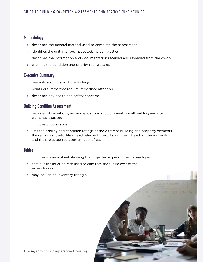### **Methodology**

- » describes the general method used to complete the assessment
- » identifies the unit interiors inspected, including attics
- » describes the information and documentation received and reviewed from the co-op
- » explains the condition and priority rating scales

### **Executive Summary**

- » presents a summary of the findings
- » points out items that require immediate attention
- » describes any health and safety concerns

### **Building Condition Assessment**

- » provides observations, recommendations and comments on all building and site elements assessed
- » includes photographs
- » lists the priority and condition ratings of the different building and property elements, the remaining useful life of each element, the total number of each of the elements and the projected replacement cost of each

#### **Tables**

- » includes a spreadsheet showing the projected expenditures for each year
- » sets out the inflation rate used to calculate the future cost of the expenditures
- » may include an inventory listing all  $\epsilon$



The Agency for Co-operative Housing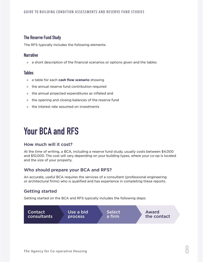### <span id="page-7-0"></span>**The Reserve Fund Study**

The RFS typically includes the following elements:

#### **Narrative**

» a short description of the financial scenarios or options given and the tables

#### **Tables**

- » a table for each **cash flow scenario** showing
- » the annual reserve fund contribution required
- » the annual projected expenditures as inflated and
- » the opening and closing balances of the reserve fund
- » the interest rate assumed on investments

# **Your BCA and RFS**

#### How much will it cost?

At the time of writing, a BCA, including a reserve fund study, usually costs between \$4,000 and \$10,000. The cost will vary depending on your building types, where your co-op is located and the size of your property.

### Who should prepare your BCA and RFS?

An accurate, useful BCA requires the services of a consultant (professional engineering or architectural firms) who is qualified and has experience in completing these reports.

### Getting started

Getting started on the BCA and RFS typically includes the following steps:

Contact consultants Use a bid process

Select a firm

Award the contact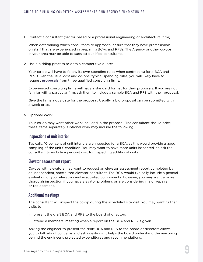1. Contact a consultant (sector-based or a professional engineering or architectural firm)

 When determining which consultants to approach, ensure that they have professionals on staff that are experienced in preparing BCAs and RFSs. The Agency or other co-ops in your area may be able to suggest qualified consultants.

2. Use a bidding process to obtain competitive quotes

 Your co-op will have to follow its own spending rules when contracting for a BCA and RFS. Given the usual cost and co-ops' typical spending rules, you will likely have to request **proposals** from three qualified consulting firms.

 Experienced consulting firms will have a standard format for their proposals. If you are not familiar with a particular firm, ask them to include a sample BCA and RFS with their proposal.

 Give the firms a due date for the proposal. Usually, a bid proposal can be submitted within a week or so.

a. Optional Work

 Your co-op may want other work included in the proposal. The consultant should price these items separately. Optional work may include the following:

#### **Inspections of unit interior**

 Typically, 10 per cent of unit interiors are inspected for a BCA, as this would provide a good sampling of the units' condition. You may want to have more units inspected, so ask the consultant to include a per-unit cost for inspecting additional units.

#### **Elevator assessment report**

 Co-ops with elevators may want to request an elevator assessment report completed by an independent, specialized elevator consultant. The BCA would typically include a general evaluation of your elevators and associated components. However, you may want a more thorough inspection if you have elevator problems or are considering major repairs or replacement.

#### **Additional meetings**

 The consultant will inspect the co-op during the scheduled site visit. You may want further visits to

- » present the draft BCA and RFS to the board of directors
- » attend a members' meeting when a report on the BCA and RFS is given.

 Asking the engineer to present the draft BCA and RFS to the board of directors allows you to talk about concerns and ask questions. It helps the board understand the reasoning behind the engineer's projected expenditures and recommendations.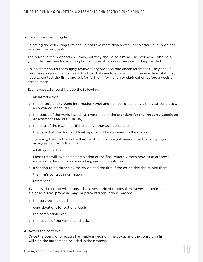#### 3. Select the consulting firm

 Selecting the consulting firm should not take more than a week or so after your co-op has received the proposals.

 The prices in the proposals will vary, but they should be similar. The review will also help you understand each consulting firm's scope of work and services to be provided.

 Co-op staff should thoroughly review every proposal and check references. They should then make a recommendation to the board of directors to help with the selection. Staff may need to contact the firms and ask for further information or clarification before a decision can be made.

Each proposal should include the following:

- » an introduction
- » the co-op's background information (type and number of buildings, the year built, etc.), as provided in the RFP
- » the scope of the work, including a reference to the **Standard for the Property Condition Assessment (ASTM E2018-15)**
- » the cost of the BCA and RFS and any other additional costs
- » the date that the draft and final reports will be delivered to the co-op

 Typically, the draft report will arrive about six to eight weeks after the co-op signs an agreement with the firm.

» a billing schedule

 Most firms will invoice on completion of the final report. Others may issue progress invoices to the co-op upon reaching certain milestones.

- » a section to be signed by the co-op and the firm if the co-op decides to hire them
- » the firm's contact information
- » references

 Typically, the co-op will choose the lowest-priced proposal. However, sometimes a higher-priced proposal may be preferred for various reasons:

- » the services included
- » considerations for optional costs
- » the completion date
- » the results of the reference check.
- 4. Award the contract

 Once the board of directors has made a decision, the co-op and the consulting firm will sign the agreement included in the proposal.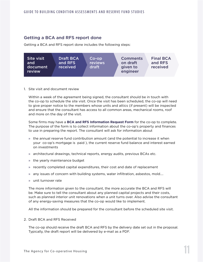### <span id="page-10-0"></span>Getting a BCA and RFS report done

Getting a BCA and RFS report done includes the following steps:



1. Site visit and document review

 Within a week of the agreement being signed, the consultant should be in touch with the co-op to schedule the site visit. Once the visit has been scheduled, the co-op will need to give proper notice to the members whose units and attics (if present) will be inspected and ensure that the consultant has access to all common areas, mechanical rooms, roof and more on the day of the visit.

 Some firms may have a **BCA and RFS Information Request Form** for the co-op to complete. The purpose of the form is to collect information about the co-op's property and finances to use in preparing the report. The consultant will ask for information about

- » the annual reserve fund contribution amount (and the potential to increase it when your co-op's mortgage is paid ), the current reserve fund balance and interest earned on investments
- » architectural drawings, technical reports, energy audits, previous BCAs etc.
- » the yearly maintenance budget
- » recently completed capital expenditures, their cost and date of replacement
- » any issues of concern with building systems, water infiltration, asbestos, mold….
- » unit turnover rate

 The more information given to the consultant, the more accurate the BCA and RFS will be. Make sure to tell the consultant about any planned capital projects and their costs, such as planned interior unit renovations when a unit turns over. Also advise the consultant of any energy-saving measures that the co-op would like to implement.

All the information should be prepared for the consultant before the scheduled site visit.

2. Draft BCA and RFS Received

 The co-op should receive the draft BCA and RFS by the delivery date set out in the proposal. Typically, the draft report will be delivered by e-mail as a PDF.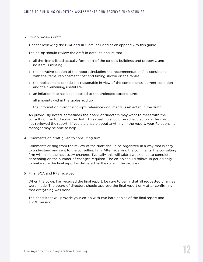#### 3. Co-op reviews draft

Tips for reviewing the **BCA and RFS** are included as an appendix to this guide.

The co-op should review the draft in detail to ensure that

- » all the items listed actually form part of the co-op's buildings and property, and no item is missing
- » the narrative section of the report (including the recommendations) is consistent with the items, replacement cost and timing shown on the tables
- » the replacement schedule is reasonable in view of the components' current condition and their remaining useful life
- » an inflation rate has been applied to the projected expenditures
- » all amounts within the tables add up
- » the information from the co-op's reference documents is reflected in the draft.

 As previously noted, sometimes the board of directors may want to meet with the consulting firm to discuss the draft. This meeting should be scheduled once the co-op has reviewed the report. If you are unsure about anything in the report, your Relationship Manager may be able to help.

4. Comments on draft given to consulting firm

 Comments arising from the review of the draft should be organized in a way that is easy to understand and sent to the consulting firm. After receiving the comments, the consulting firm will make the necessary changes. Typically, this will take a week or so to complete, depending on the number of changes required. The co-op should follow up periodically to make sure the final report is delivered by the date in the proposal.

5. Final BCA and RFS received

 When the co-op has received the final report, be sure to verify that all requested changes were made. The board of directors should approve the final report only after confirming that everything was done.

 The consultant will provide your co-op with two hard copies of the final report and a PDF version.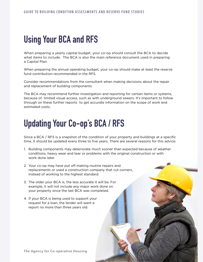# <span id="page-12-0"></span>**Using Your BCA and RFS**

When preparing a yearly capital budget, your co-op should consult the BCA to decide what items to include. The BCA is also the main reference document used in preparing a Capital Plan.

When preparing the annual operating budget, your co-op should make at least the reserve fund contribution recommended in the RFS.

Consider recommendations from the consultant when making decisions about the repair and replacement of building components.

The BCA may recommend further investigation and reporting for certain items or systems, because of limited visual access, such as with underground sewers. It's important to follow through on these further reports to get accurate information on the scope of work and estimated costs.

# **Updating Your Co-op's BCA / RFS**

Since a BCA / RFS is a snapshot of the condition of your property and buildings at a specific time, it should be updated every three to five years. There are several reasons for this advice:

- 1. Building components may deteriorate much sooner than expected because of weather conditions, heavy wear and tear or problems with the original construction or with work done later.
- 2. Your co-op may have put off making routine repairs and replacements or used a construction company that cut corners, instead of working to the highest standard.
- 3. The older your BCA is, the less accurate it will be. For example, it will not include any major work done on your property since the last BCA was completed.
- 4. If your BCA is being used to support your request for a loan, the lender will want a report no more than three years old.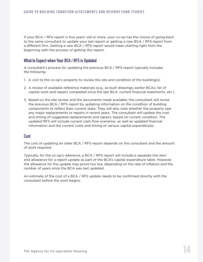If your BCA / RFS report is five years' old or more, your co-op has the choice of going back to the same consultant to update your last report or getting a new BCA / RFS report from a different firm. Getting a new BCA / RFS report would mean starting right from the beginning with the process of getting this report.

### **What to Expect when Your BCA / RFS is Updated**

A consultant's process for updating the previous BCA / RFS report typically includes the following:

- 1. A visit to the co-op's property to review the site and condition of the building(s)
- 2. A review of available reference materials (e.g., as-built drawings; earlier BCAs; list of capital work and repairs completed since the last BCA; current financial statements, etc.).
- 3. Based on the site review and the documents made available, the consultant will revise the previous BCA / RFS report by updating information on the condition of building components to reflect their current state. They will also note whether the property saw any major replacements or repairs in recent years. The consultant will update the cost and timing of suggested replacements and repairs, based on current condition. The updated RFS will include current cash-flow scenarios, as well as updated financial information and the current costs and timing of various capital expenditures.

#### **Cost**

The cost of updating an older BCA / RFS report depends on the consultant and the amount of work required.

Typically, for the co-op's reference, a BCA / RFS report will include a separate line item and allowance for a report update as part of the BCA's capital expenditure table. However, the allowance for the update may prove too low, depending on the rate of inflation and the number of years since the BCA was last updated.

An estimate of the cost of a BCA / RFS update needs to be confirmed directly with the consultant before the work begins.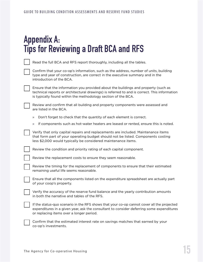# <span id="page-14-0"></span>**Appendix A: Tips for Reviewing a Draft BCA and RFS**

| Read the full BCA and RFS report thoroughly, including all the tables.                                                                                                                                                                              |
|-----------------------------------------------------------------------------------------------------------------------------------------------------------------------------------------------------------------------------------------------------|
| Confirm that your co-op's information, such as the address, number of units, building<br>type and year of construction, are correct in the executive summary and in the<br>introduction of the BCA.                                                 |
| Ensure that the information you provided about the buildings and property (such as<br>technical reports or architectural drawings) is referred to and is correct. This information<br>is typically found within the methodology section of the BCA. |
| Review and confirm that all building and property components were assessed and<br>are listed in the BCA.                                                                                                                                            |
| Don't forget to check that the quantity of each element is correct.<br>$\mathcal{V}$                                                                                                                                                                |
| If components such as hot-water heaters are leased or rented, ensure this is noted.<br>$\mathcal{V}$                                                                                                                                                |
| Verify that only capital repairs and replacements are included. Maintenance items<br>that form part of your operating budget should not be listed. Components costing<br>less \$2,000 would typically be considered maintenance items.              |
| Review the condition and priority rating of each capital component.                                                                                                                                                                                 |
| Review the replacement costs to ensure they seem reasonable.                                                                                                                                                                                        |
| Review the timing for the replacement of components to ensure that their estimated<br>remaining useful life seems reasonable.                                                                                                                       |
| Ensure that all the components listed on the expenditure spreadsheet are actually part<br>of your coop's property.                                                                                                                                  |
| Verify the accuracy of the reserve fund balance and the yearly contribution amounts<br>in both the narrative and tables of the RFS.                                                                                                                 |
| If the status-quo scenario in the RFS shows that your co-op cannot cover all the projected<br>expenditures in a given year, ask the consultant to consider deferring some expenditures                                                              |

 Confirm that the estimated interest rate on savings matches that earned by your co-op's investments.

or replacing items over a longer period.